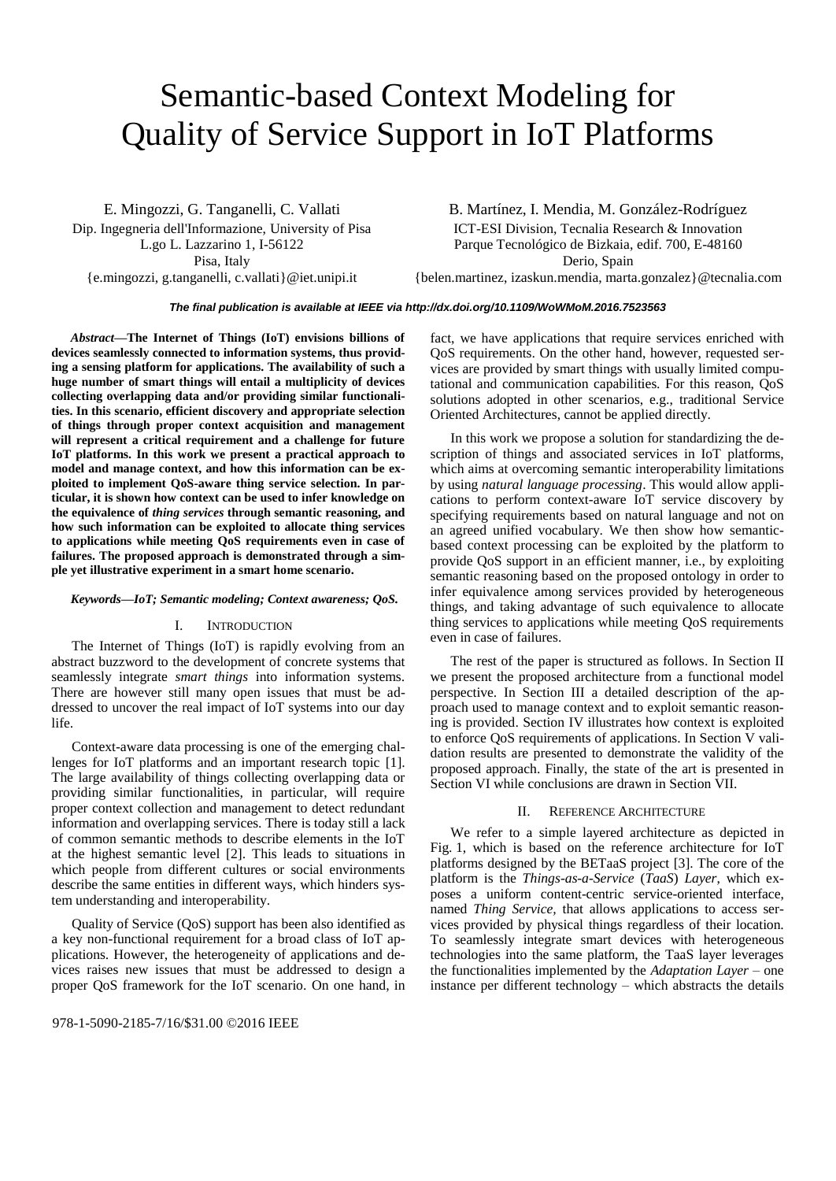# Semantic-based Context Modeling for Quality of Service Support in IoT Platforms

E. Mingozzi, G. Tanganelli, C. Vallati Dip. Ingegneria dell'Informazione, University of Pisa L.go L. Lazzarino 1, I-56122 Pisa, Italy {e.mingozzi, g.tanganelli, c.vallati}@iet.unipi.it

B. Martínez, I. Mendia, M. González-Rodríguez ICT-ESI Division, Tecnalia Research & Innovation Parque Tecnológico de Bizkaia, edif. 700, E-48160 Derio, Spain

{belen.martinez, izaskun.mendia, marta.gonzalez}@tecnalia.com

# *The final publication is available at IEEE via http://dx.doi.org/10.1109/WoWMoM.2016.7523563*

*Abstract***—The Internet of Things (IoT) envisions billions of devices seamlessly connected to information systems, thus providing a sensing platform for applications. The availability of such a huge number of smart things will entail a multiplicity of devices collecting overlapping data and/or providing similar functionalities. In this scenario, efficient discovery and appropriate selection of things through proper context acquisition and management will represent a critical requirement and a challenge for future IoT platforms. In this work we present a practical approach to model and manage context, and how this information can be exploited to implement QoS-aware thing service selection. In particular, it is shown how context can be used to infer knowledge on the equivalence of** *thing services* **through semantic reasoning, and how such information can be exploited to allocate thing services to applications while meeting QoS requirements even in case of failures. The proposed approach is demonstrated through a simple yet illustrative experiment in a smart home scenario.**

## *Keywords—IoT; Semantic modeling; Context awareness; QoS.*

# I. INTRODUCTION

The Internet of Things (IoT) is rapidly evolving from an abstract buzzword to the development of concrete systems that seamlessly integrate *smart things* into information systems. There are however still many open issues that must be addressed to uncover the real impact of IoT systems into our day life.

Context-aware data processing is one of the emerging challenges for IoT platforms and an important research topic [\[1\].](#page-5-0) The large availability of things collecting overlapping data or providing similar functionalities, in particular, will require proper context collection and management to detect redundant information and overlapping services. There is today still a lack of common semantic methods to describe elements in the IoT at the highest semantic level [\[2\].](#page-5-1) This leads to situations in which people from different cultures or social environments describe the same entities in different ways, which hinders system understanding and interoperability.

Quality of Service (QoS) support has been also identified as a key non-functional requirement for a broad class of IoT applications. However, the heterogeneity of applications and devices raises new issues that must be addressed to design a proper QoS framework for the IoT scenario. On one hand, in

978-1-5090-2185-7/16/\$31.00 ©2016 IEEE

fact, we have applications that require services enriched with QoS requirements. On the other hand, however, requested services are provided by smart things with usually limited computational and communication capabilities. For this reason, QoS solutions adopted in other scenarios, e.g., traditional Service Oriented Architectures, cannot be applied directly.

In this work we propose a solution for standardizing the description of things and associated services in IoT platforms, which aims at overcoming semantic interoperability limitations by using *natural language processing*. This would allow applications to perform context-aware IoT service discovery by specifying requirements based on natural language and not on an agreed unified vocabulary. We then show how semanticbased context processing can be exploited by the platform to provide QoS support in an efficient manner, i.e., by exploiting semantic reasoning based on the proposed ontology in order to infer equivalence among services provided by heterogeneous things, and taking advantage of such equivalence to allocate thing services to applications while meeting QoS requirements even in case of failures.

The rest of the paper is structured as follows. In Section [II](#page-0-0) we present the proposed architecture from a functional model perspective. In Section [III](#page-1-0) a detailed description of the approach used to manage context and to exploit semantic reasoning is provided. Section [IV](#page-3-0) illustrates how context is exploited to enforce QoS requirements of applications. In Section [V](#page-4-0) validation results are presented to demonstrate the validity of the proposed approach. Finally, the state of the art is presented in Section [VI](#page-5-2) while conclusions are drawn in Sectio[n VII.](#page-5-3)

# II. REFERENCE ARCHITECTURE

<span id="page-0-0"></span>We refer to a simple layered architecture as depicted in [Fig.](#page-1-1) 1, which is based on the reference architecture for IoT platforms designed by the BETaaS project [\[3\].](#page-5-4) The core of the platform is the *Things-as-a-Service* (*TaaS*) *Layer*, which exposes a uniform content-centric service-oriented interface, named *Thing Service,* that allows applications to access services provided by physical things regardless of their location. To seamlessly integrate smart devices with heterogeneous technologies into the same platform, the TaaS layer leverages the functionalities implemented by the *Adaptation Layer* – one instance per different technology – which abstracts the details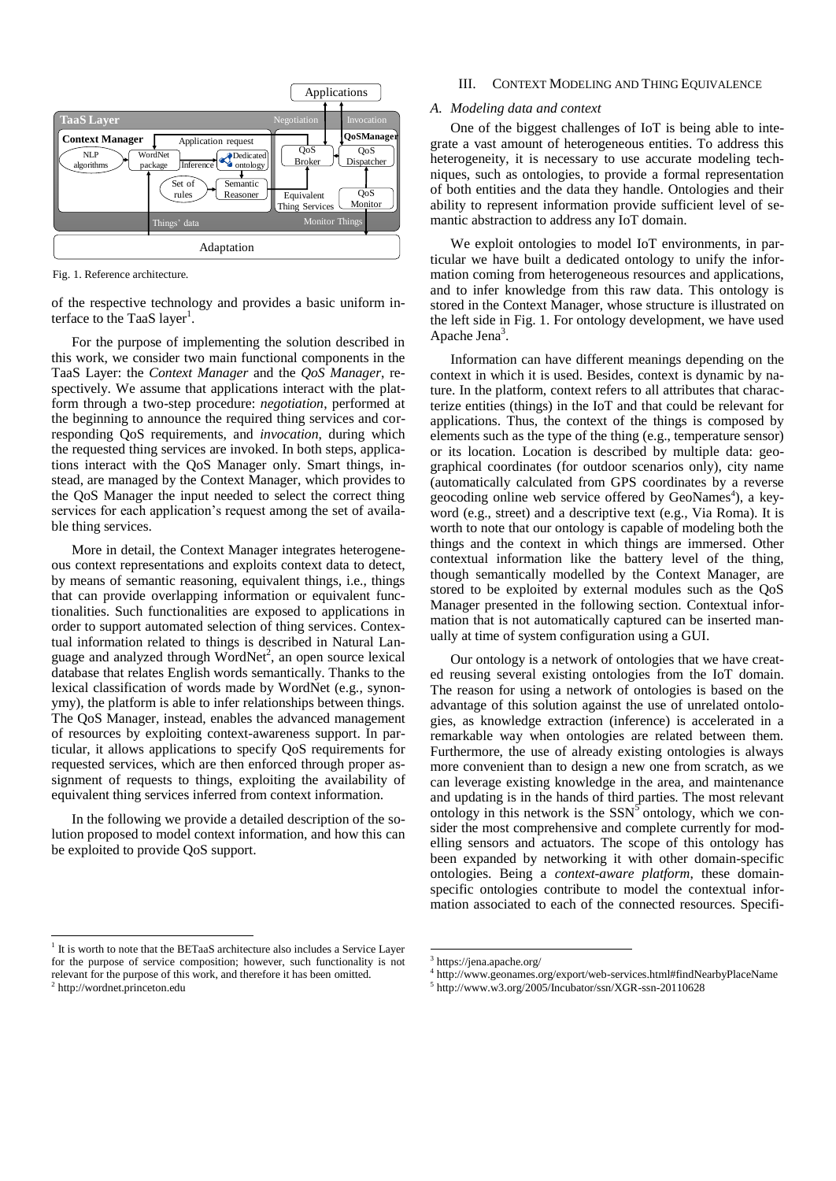

<span id="page-1-1"></span>Fig. 1. Reference architecture.

of the respective technology and provides a basic uniform interface to the TaaS layer<sup>1</sup>.

For the purpose of implementing the solution described in this work, we consider two main functional components in the TaaS Layer: the *Context Manager* and the *QoS Manager*, respectively. We assume that applications interact with the platform through a two-step procedure: *negotiation*, performed at the beginning to announce the required thing services and corresponding QoS requirements, and *invocation*, during which the requested thing services are invoked. In both steps, applications interact with the QoS Manager only. Smart things, instead, are managed by the Context Manager, which provides to the QoS Manager the input needed to select the correct thing services for each application's request among the set of available thing services.

More in detail, the Context Manager integrates heterogeneous context representations and exploits context data to detect, by means of semantic reasoning, equivalent things, i.e., things that can provide overlapping information or equivalent functionalities. Such functionalities are exposed to applications in order to support automated selection of thing services. Contextual information related to things is described in Natural Language and analyzed through WordNet<sup>2</sup>, an open source lexical database that relates English words semantically. Thanks to the lexical classification of words made by WordNet (e.g., synonymy), the platform is able to infer relationships between things. The QoS Manager, instead, enables the advanced management of resources by exploiting context-awareness support. In particular, it allows applications to specify QoS requirements for requested services, which are then enforced through proper assignment of requests to things, exploiting the availability of equivalent thing services inferred from context information.

In the following we provide a detailed description of the solution proposed to model context information, and how this can be exploited to provide QoS support.

## <sup>1</sup> It is worth to note that the BETaaS architecture also includes a Service Layer for the purpose of service composition; however, such functionality is not relevant for the purpose of this work, and therefore it has been omitted. 2 [http://wordnet.princeton.edu](http://wordnetweb.princeton.edu/)

l

# III. CONTEXT MODELING AND THING EQUIVALENCE

## <span id="page-1-0"></span>*A. Modeling data and context*

One of the biggest challenges of IoT is being able to integrate a vast amount of heterogeneous entities. To address this heterogeneity, it is necessary to use accurate modeling techniques, such as ontologies, to provide a formal representation of both entities and the data they handle. Ontologies and their ability to represent information provide sufficient level of semantic abstraction to address any IoT domain.

We exploit ontologies to model IoT environments, in particular we have built a dedicated ontology to unify the information coming from heterogeneous resources and applications, and to infer knowledge from this raw data. This ontology is stored in the Context Manager, whose structure is illustrated on the left side in [Fig.](#page-1-1) 1. For ontology development, we have used Apache Jena<sup>3</sup>.

Information can have different meanings depending on the context in which it is used. Besides, context is dynamic by nature. In the platform, context refers to all attributes that characterize entities (things) in the IoT and that could be relevant for applications. Thus, the context of the things is composed by elements such as the type of the thing (e.g., temperature sensor) or its location. Location is described by multiple data: geographical coordinates (for outdoor scenarios only), city name (automatically calculated from GPS coordinates by a reverse geocoding online web service offered by GeoNames<sup>4</sup>), a keyword (e.g., street) and a descriptive text (e.g., Via Roma). It is worth to note that our ontology is capable of modeling both the things and the context in which things are immersed. Other contextual information like the battery level of the thing, though semantically modelled by the Context Manager, are stored to be exploited by external modules such as the QoS Manager presented in the following section. Contextual information that is not automatically captured can be inserted manually at time of system configuration using a GUI.

Our ontology is a network of ontologies that we have created reusing several existing ontologies from the IoT domain. The reason for using a network of ontologies is based on the advantage of this solution against the use of unrelated ontologies, as knowledge extraction (inference) is accelerated in a remarkable way when ontologies are related between them. Furthermore, the use of already existing ontologies is always more convenient than to design a new one from scratch, as we can leverage existing knowledge in the area, and maintenance and updating is in the hands of third parties. The most relevant ontology in this network is the  $SSN^5$  ontology, which we consider the most comprehensive and complete currently for modelling sensors and actuators. The scope of this ontology has been expanded by networking it with other domain-specific ontologies. Being a *context-aware platform*, these domainspecific ontologies contribute to model the contextual information associated to each of the connected resources. Specifi-

 $\overline{a}$ 

<sup>&</sup>lt;sup>3</sup> https://jena.apache.org/

<sup>4</sup> <http://www.geonames.org/export/web-services.html#findNearbyPlaceName>

<sup>5</sup> <http://www.w3.org/2005/Incubator/ssn/XGR-ssn-20110628>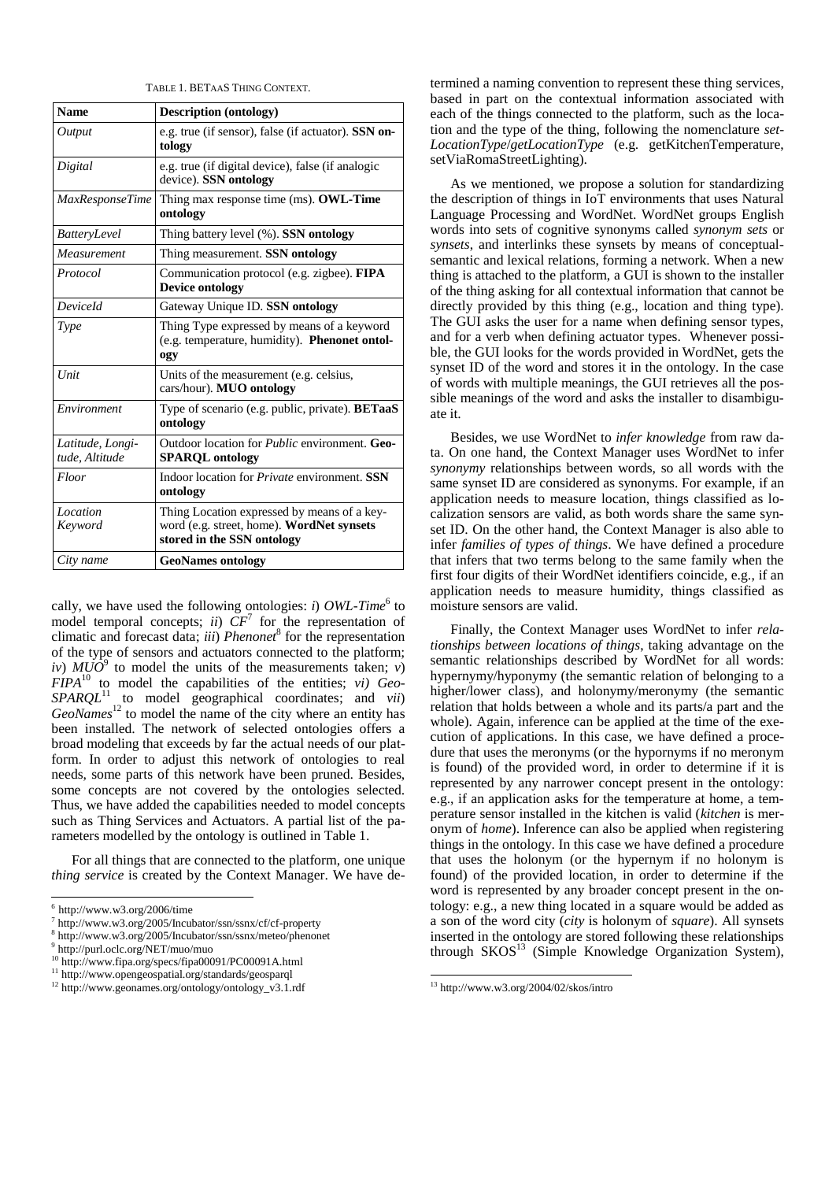| TABLE 1. BETAAS THING CONTEXT. |  |
|--------------------------------|--|
|--------------------------------|--|

<span id="page-2-0"></span>

| <b>Name</b>                        | <b>Description (ontology)</b>                                                                                          |
|------------------------------------|------------------------------------------------------------------------------------------------------------------------|
| Output                             | e.g. true (if sensor), false (if actuator). SSN on-<br>tology                                                          |
| Digital                            | e.g. true (if digital device), false (if analogic<br>device). SSN ontology                                             |
| <b>MaxResponseTime</b>             | Thing max response time (ms). OWL-Time<br>ontology                                                                     |
| BatteryLevel                       | Thing battery level (%). SSN ontology                                                                                  |
| Measurement                        | Thing measurement. SSN ontology                                                                                        |
| Protocol                           | Communication protocol (e.g. zigbee). FIPA<br><b>Device ontology</b>                                                   |
| DeviceId                           | Gateway Unique ID. SSN ontology                                                                                        |
| Type                               | Thing Type expressed by means of a keyword<br>(e.g. temperature, humidity). Phenonet ontol-<br>ogy                     |
| Unit                               | Units of the measurement (e.g. celsius,<br>cars/hour). MUO ontology                                                    |
| Environment                        | Type of scenario (e.g. public, private). <b>BETaaS</b><br>ontology                                                     |
| Latitude, Longi-<br>tude, Altitude | Outdoor location for <i>Public</i> environment. Geo-<br><b>SPARQL</b> ontology                                         |
| Floor                              | Indoor location for <i>Private</i> environment. SSN<br>ontology                                                        |
| Location<br>Keyword                | Thing Location expressed by means of a key-<br>word (e.g. street, home). WordNet synsets<br>stored in the SSN ontology |
| City name                          | <b>GeoNames ontology</b>                                                                                               |

cally, we have used the following ontologies: *i*) OWL-Time<sup>6</sup> to model temporal concepts; *ii*)  $CF<sup>7</sup>$  for the representation of climatic and forecast data; *iii*) *Phenonet*<sup>8</sup> for the representation of the type of sensors and actuators connected to the platform; *iv*)  $M\ddot{U}\dot{O}^9$  to model the units of the measurements taken; *v*) *FIPA*<sup>10</sup> to model the capabilities of the entities; *vi) Geo-SPARQL*<sup>11</sup> to model geographical coordinates; and *vii*) *GeoNames*<sup>12</sup> to model the name of the city where an entity has been installed. The network of selected ontologies offers a broad modeling that exceeds by far the actual needs of our platform. In order to adjust this network of ontologies to real needs, some parts of this network have been pruned. Besides, some concepts are not covered by the ontologies selected. Thus, we have added the capabilities needed to model concepts such as Thing Services and Actuators. A partial list of the parameters modelled by the ontology is outlined in [Table 1.](#page-2-0)

For all things that are connected to the platform, one unique *thing service* is created by the Context Manager. We have de-

l

termined a naming convention to represent these thing services, based in part on the contextual information associated with each of the things connected to the platform, such as the location and the type of the thing, following the nomenclature *set-LocationType*/*getLocationType* (e.g. getKitchenTemperature, setViaRomaStreetLighting).

As we mentioned, we propose a solution for standardizing the description of things in IoT environments that uses Natural Language Processing and WordNet. WordNet groups English words into sets of cognitive [synonyms](http://en.wikipedia.org/wiki/Synonyms) called *[synonym sets](http://en.wikipedia.org/wiki/Synsets)* or *synsets*, and interlinks these synsets by means of conceptualsemantic and lexical relations, forming a network. When a new thing is attached to the platform, a GUI is shown to the installer of the thing asking for all contextual information that cannot be directly provided by this thing (e.g., location and thing type). The GUI asks the user for a name when defining sensor types, and for a verb when defining actuator types. Whenever possible, the GUI looks for the words provided in WordNet, gets the synset ID of the word and stores it in the ontology. In the case of words with multiple meanings, the GUI retrieves all the possible meanings of the word and asks the installer to disambiguate it.

Besides, we use WordNet to *infer knowledge* from raw data. On one hand, the Context Manager uses WordNet to infer *synonymy* relationships between words, so all words with the same synset ID are considered as synonyms. For example, if an application needs to measure location, things classified as localization sensors are valid, as both words share the same synset ID. On the other hand, the Context Manager is also able to infer *families of types of things*. We have defined a procedure that infers that two terms belong to the same family when the first four digits of their WordNet identifiers coincide, e.g., if an application needs to measure humidity, things classified as moisture sensors are valid.

Finally, the Context Manager uses WordNet to infer *relationships between locations of things*, taking advantage on the semantic relationships described by WordNet for all words: hypernymy/hyponymy (the semantic relation of belonging to a higher/lower class), and holonymy/meronymy (the semantic relation that holds between a whole and its parts/a part and the whole). Again, inference can be applied at the time of the execution of applications. In this case, we have defined a procedure that uses the meronyms (or the hypornyms if no meronym is found) of the provided word, in order to determine if it is represented by any narrower concept present in the ontology: e.g., if an application asks for the temperature at home, a temperature sensor installed in the kitchen is valid (*kitchen* is meronym of *home*). Inference can also be applied when registering things in the ontology. In this case we have defined a procedure that uses the holonym (or the hypernym if no holonym is found) of the provided location, in order to determine if the word is represented by any broader concept present in the ontology: e.g., a new thing located in a square would be added as a son of the word city (*city* is holonym of *square*). All synsets inserted in the ontology are stored following these relationships through  $SKOS<sup>13</sup>$  (Simple Knowledge Organization System),

-

 $6$  <http://www.w3.org/2006/time>

<sup>7</sup> http://www.w3.org/2005/Incubator/ssn/ssnx/cf/cf-property

<sup>8</sup> http://www.w3.org/2005/Incubator/ssn/ssnx/meteo/phenonet

<sup>9</sup> http://purl.oclc.org/NET/muo/muo

<sup>10</sup> http://www.fipa.org/specs/fipa00091/PC00091A.html

<sup>11</sup> http://www.opengeospatial.org/standards/geosparql

<sup>12</sup> http://www.geonames.org/ontology/ontology\_v3.1.rdf

<sup>13</sup> <http://www.w3.org/2004/02/skos/intro>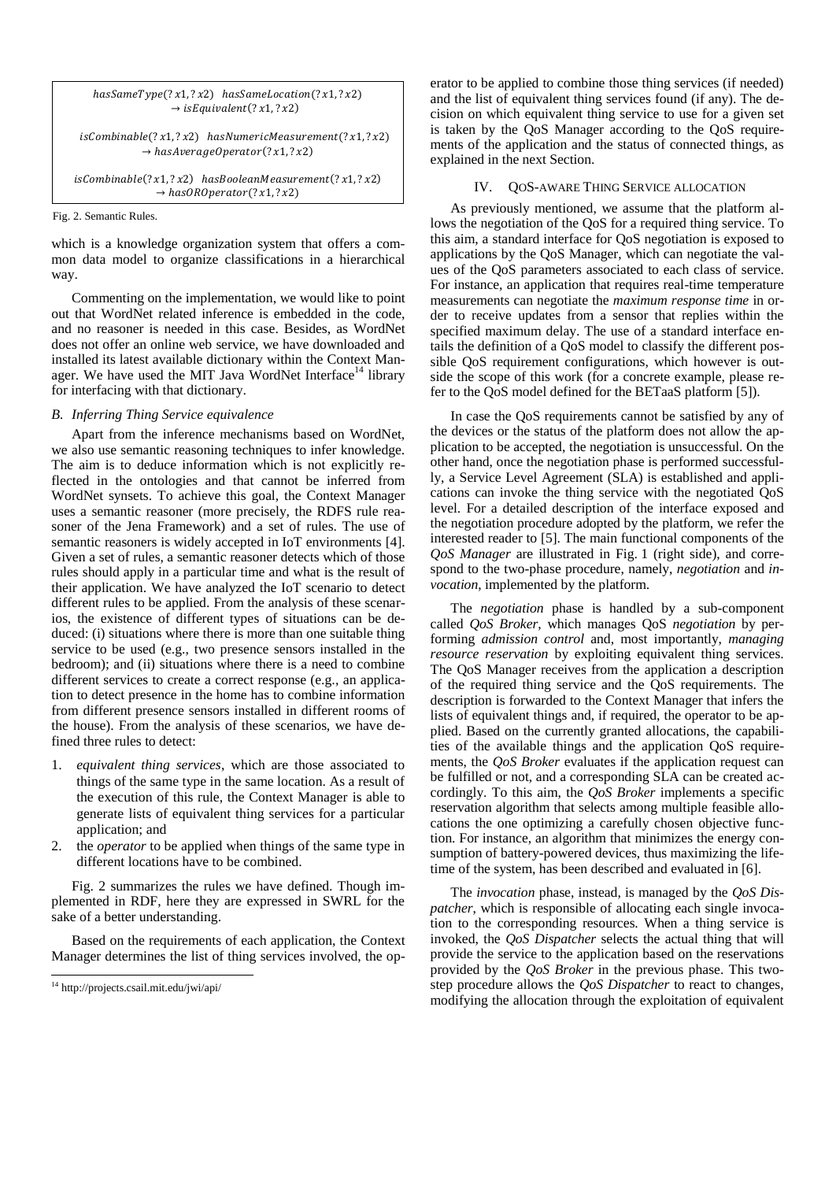$$
hasSameType(?x1, ?x2) has SameLocation(?x1, ?x2)
$$
  
\n
$$
\rightarrow isEquivalent(?x1, ?x2)
$$
  
\n
$$
isCombineble(?x1, ?x2) has NumericMeasurement(?x1, ?x2)
$$
  
\n
$$
\rightarrow hasAverageOperator(?x1, ?x2)
$$
  
\n
$$
isCombinable(?x1, ?x2) hasBooleanMeasurement(?x1, ?x2)
$$
  
\n
$$
\rightarrow hasOROperator(?x1, ?x2)
$$

<span id="page-3-1"></span>Fig. 2. Semantic Rules.

which is a knowledge organization system that offers a common data model to organize classifications in a hierarchical way.

Commenting on the implementation, we would like to point out that WordNet related inference is embedded in the code, and no reasoner is needed in this case. Besides, as WordNet does not offer an online web service, we have downloaded and installed its latest available dictionary within the Context Manager. We have used the MIT Java WordNet Interface<sup>14</sup> library for interfacing with that dictionary.

# *B. Inferring Thing Service equivalence*

Apart from the inference mechanisms based on WordNet, we also use semantic reasoning techniques to infer knowledge. The aim is to deduce information which is not explicitly reflected in the ontologies and that cannot be inferred from WordNet synsets. To achieve this goal, the Context Manager uses a semantic reasoner (more precisely, the RDFS rule reasoner of the Jena Framework) and a set of rules. The use of semantic reasoners is widely accepted in IoT environments [\[4\].](#page-5-5) Given a set of rules, a semantic reasoner detects which of those rules should apply in a particular time and what is the result of their application. We have analyzed the IoT scenario to detect different rules to be applied. From the analysis of these scenarios, the existence of different types of situations can be deduced: (i) situations where there is more than one suitable thing service to be used (e.g., two presence sensors installed in the bedroom); and (ii) situations where there is a need to combine different services to create a correct response (e.g., an application to detect presence in the home has to combine information from different presence sensors installed in different rooms of the house). From the analysis of these scenarios, we have defined three rules to detect:

- 1. *equivalent thing services*, which are those associated to things of the same type in the same location. As a result of the execution of this rule, the Context Manager is able to generate lists of equivalent thing services for a particular application; and
- 2. the *operator* to be applied when things of the same type in different locations have to be combined.

[Fig. 2](#page-3-1) summarizes the rules we have defined. Though implemented in RDF, here they are expressed in SWRL for the sake of a better understanding.

Based on the requirements of each application, the Context Manager determines the list of thing services involved, the op-

l

erator to be applied to combine those thing services (if needed) and the list of equivalent thing services found (if any). The decision on which equivalent thing service to use for a given set is taken by the QoS Manager according to the QoS requirements of the application and the status of connected things, as explained in the next Section.

# IV. QOS-AWARE THING SERVICE ALLOCATION

<span id="page-3-0"></span>As previously mentioned, we assume that the platform allows the negotiation of the QoS for a required thing service. To this aim, a standard interface for QoS negotiation is exposed to applications by the QoS Manager, which can negotiate the values of the QoS parameters associated to each class of service. For instance, an application that requires real-time temperature measurements can negotiate the *maximum response time* in order to receive updates from a sensor that replies within the specified maximum delay. The use of a standard interface entails the definition of a QoS model to classify the different possible QoS requirement configurations, which however is outside the scope of this work (for a concrete example, please refer to the QoS model defined for the BETaaS platfor[m \[5\]\)](#page-5-6).

In case the QoS requirements cannot be satisfied by any of the devices or the status of the platform does not allow the application to be accepted, the negotiation is unsuccessful. On the other hand, once the negotiation phase is performed successfully, a Service Level Agreement (SLA) is established and applications can invoke the thing service with the negotiated QoS level. For a detailed description of the interface exposed and the negotiation procedure adopted by the platform, we refer the interested reader to [\[5\].](#page-5-6) The main functional components of the *QoS Manager* are illustrated in [Fig.](#page-1-1) 1 (right side), and correspond to the two-phase procedure, namely, *negotiation* and *invocation*, implemented by the platform.

The *negotiation* phase is handled by a sub-component called *QoS Broker*, which manages QoS *negotiation* by performing *admission control* and, most importantly, *managing resource reservation* by exploiting equivalent thing services. The QoS Manager receives from the application a description of the required thing service and the QoS requirements. The description is forwarded to the Context Manager that infers the lists of equivalent things and, if required, the operator to be applied. Based on the currently granted allocations, the capabilities of the available things and the application QoS requirements, the *QoS Broker* evaluates if the application request can be fulfilled or not, and a corresponding SLA can be created accordingly. To this aim, the *QoS Broker* implements a specific reservation algorithm that selects among multiple feasible allocations the one optimizing a carefully chosen objective function. For instance, an algorithm that minimizes the energy consumption of battery-powered devices, thus maximizing the lifetime of the system, has been described and evaluated in [\[6\]](#page-5-7).

The *invocation* phase, instead, is managed by the *QoS Dispatcher*, which is responsible of allocating each single invocation to the corresponding resources. When a thing service is invoked, the *QoS Dispatcher* selects the actual thing that will provide the service to the application based on the reservations provided by the *QoS Broker* in the previous phase. This twostep procedure allows the *QoS Dispatcher* to react to changes, modifying the allocation through the exploitation of equivalent

<sup>14</sup> http://projects.csail.mit.edu/jwi/api/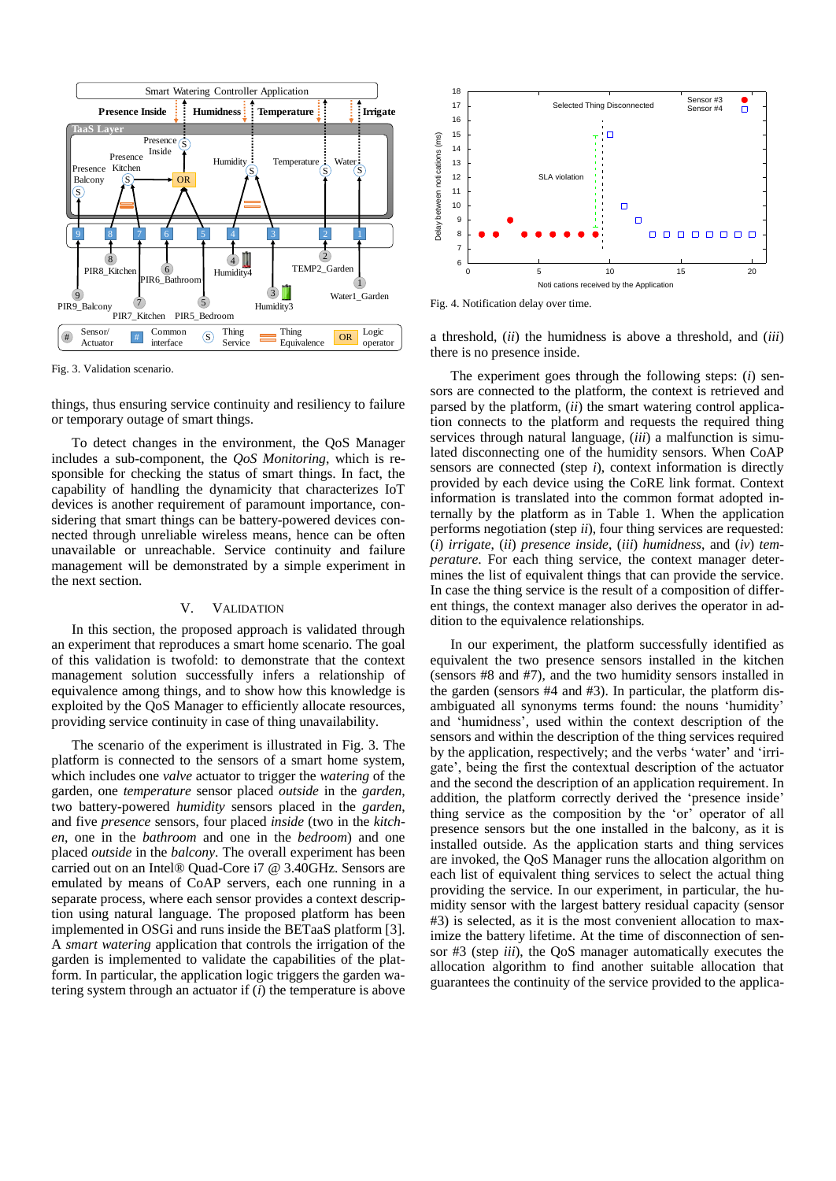

<span id="page-4-1"></span>Fig. 3. Validation scenario.

things, thus ensuring service continuity and resiliency to failure or temporary outage of smart things.

To detect changes in the environment, the QoS Manager includes a sub-component, the *QoS Monitoring*, which is responsible for checking the status of smart things. In fact, the capability of handling the dynamicity that characterizes IoT devices is another requirement of paramount importance, considering that smart things can be battery-powered devices connected through unreliable wireless means, hence can be often unavailable or unreachable. Service continuity and failure management will be demonstrated by a simple experiment in the next section.

# V. VALIDATION

<span id="page-4-0"></span>In this section, the proposed approach is validated through an experiment that reproduces a smart home scenario. The goal of this validation is twofold: to demonstrate that the context management solution successfully infers a relationship of equivalence among things, and to show how this knowledge is exploited by the QoS Manager to efficiently allocate resources, providing service continuity in case of thing unavailability.

The scenario of the experiment is illustrated in [Fig. 3.](#page-4-1) The platform is connected to the sensors of a smart home system, which includes one *valve* actuator to trigger the *watering* of the garden, one *temperature* sensor placed *outside* in the *garden*, two battery-powered *humidity* sensors placed in the *garden*, and five *presence* sensors, four placed *inside* (two in the *kitchen*, one in the *bathroom* and one in the *bedroom*) and one placed *outside* in the *balcony*. The overall experiment has been carried out on an Intel® Quad-Core i7 @ 3.40GHz. Sensors are emulated by means of CoAP servers, each one running in a separate process, where each sensor provides a context description using natural language. The proposed platform has been implemented in OSGi and runs inside the BETaaS platform [\[3\].](#page-5-4) A *smart watering* application that controls the irrigation of the garden is implemented to validate the capabilities of the platform. In particular, the application logic triggers the garden watering system through an actuator if (*i*) the temperature is above



<span id="page-4-2"></span>

a threshold, (*ii*) the humidness is above a threshold, and (*iii*) there is no presence inside.

The experiment goes through the following steps: (*i*) sensors are connected to the platform, the context is retrieved and parsed by the platform, (*ii*) the smart watering control application connects to the platform and requests the required thing services through natural language, (*iii*) a malfunction is simulated disconnecting one of the humidity sensors. When CoAP sensors are connected (step *i*), context information is directly provided by each device using the CoRE link format. Context information is translated into the common format adopted internally by the platform as in [Table 1.](#page-2-0) When the application performs negotiation (step *ii*), four thing services are requested: (*i*) *irrigate*, (*ii*) *presence inside*, (*iii*) *humidness*, and (*iv*) *temperature*. For each thing service, the context manager determines the list of equivalent things that can provide the service. In case the thing service is the result of a composition of different things, the context manager also derives the operator in addition to the equivalence relationships.

In our experiment, the platform successfully identified as equivalent the two presence sensors installed in the kitchen (sensors #8 and #7), and the two humidity sensors installed in the garden (sensors #4 and #3). In particular, the platform disambiguated all synonyms terms found: the nouns 'humidity' and 'humidness', used within the context description of the sensors and within the description of the thing services required by the application, respectively; and the verbs 'water' and 'irrigate', being the first the contextual description of the actuator and the second the description of an application requirement. In addition, the platform correctly derived the 'presence inside' thing service as the composition by the 'or' operator of all presence sensors but the one installed in the balcony, as it is installed outside. As the application starts and thing services are invoked, the QoS Manager runs the allocation algorithm on each list of equivalent thing services to select the actual thing providing the service. In our experiment, in particular, the humidity sensor with the largest battery residual capacity (sensor #3) is selected, as it is the most convenient allocation to maximize the battery lifetime. At the time of disconnection of sensor #3 (step *iii*), the QoS manager automatically executes the allocation algorithm to find another suitable allocation that guarantees the continuity of the service provided to the applica